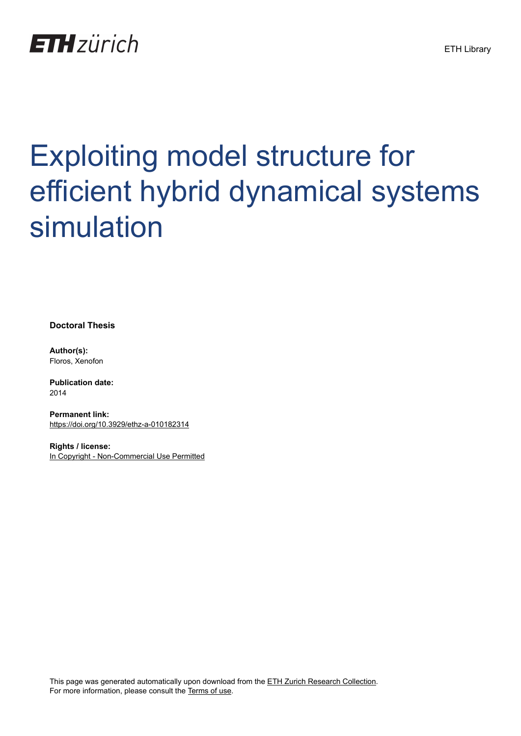

# Exploiting model structure for efficient hybrid dynamical systems simulation

**Doctoral Thesis**

**Author(s):** Floros, Xenofon

**Publication date:** 2014

**Permanent link:** <https://doi.org/10.3929/ethz-a-010182314>

**Rights / license:** [In Copyright - Non-Commercial Use Permitted](http://rightsstatements.org/page/InC-NC/1.0/)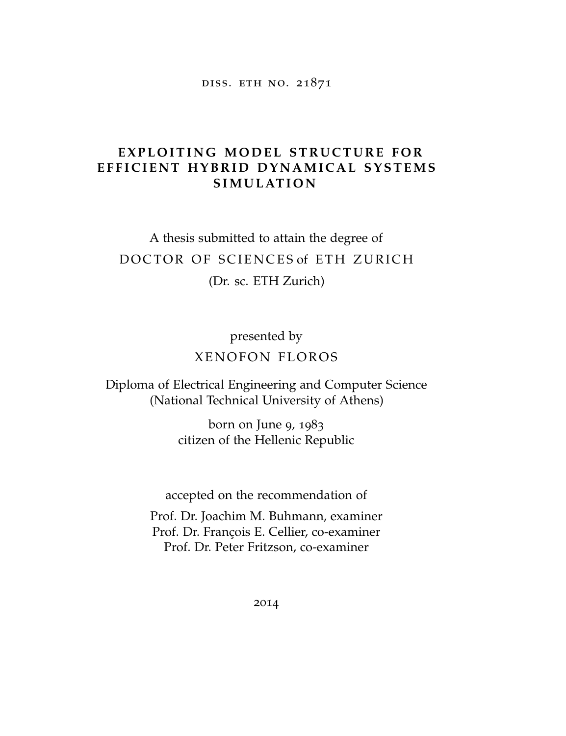diss. eth no. 21871

#### **EXPLOITING MODEL STRUCTURE FOR** EFFICIENT HYBRID DYNAMICAL SYSTEMS **S IM U L AT I O N**

## A thesis submitted to attain the degree of DOCTOR OF SCIENCES of ETH ZURICH (Dr. sc. ETH Zurich)

### presented by XENOFON FLOROS

Diploma of Electrical Engineering and Computer Science (National Technical University of Athens)

> born on June 9, 1983 citizen of the Hellenic Republic

accepted on the recommendation of

Prof. Dr. Joachim M. Buhmann, examiner Prof. Dr. François E. Cellier, co-examiner Prof. Dr. Peter Fritzson, co-examiner

2014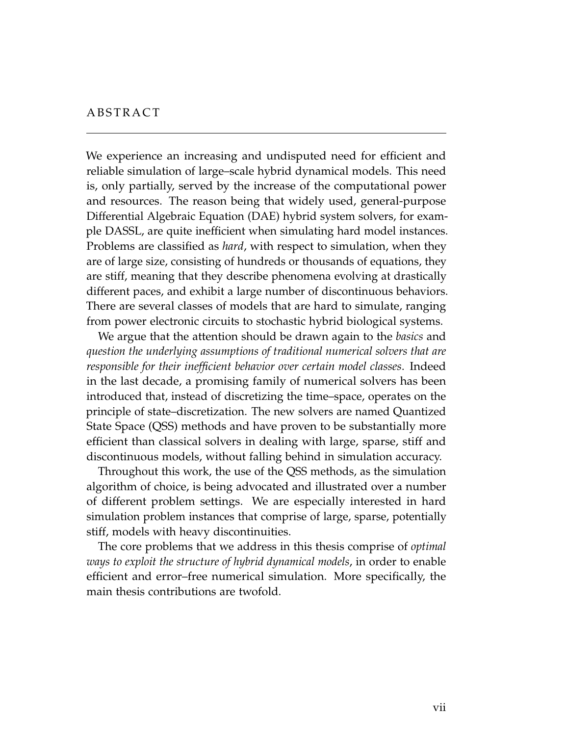#### **ABSTRACT**

We experience an increasing and undisputed need for efficient and reliable simulation of large–scale hybrid dynamical models. This need is, only partially, served by the increase of the computational power and resources. The reason being that widely used, general-purpose Differential Algebraic Equation (DAE) hybrid system solvers, for example DASSL, are quite inefficient when simulating hard model instances. Problems are classified as *hard*, with respect to simulation, when they are of large size, consisting of hundreds or thousands of equations, they are stiff, meaning that they describe phenomena evolving at drastically different paces, and exhibit a large number of discontinuous behaviors. There are several classes of models that are hard to simulate, ranging from power electronic circuits to stochastic hybrid biological systems.

We argue that the attention should be drawn again to the *basics* and *question the underlying assumptions of traditional numerical solvers that are responsible for their inefficient behavior over certain model classes*. Indeed in the last decade, a promising family of numerical solvers has been introduced that, instead of discretizing the time–space, operates on the principle of state–discretization. The new solvers are named Quantized State Space (QSS) methods and have proven to be substantially more efficient than classical solvers in dealing with large, sparse, stiff and discontinuous models, without falling behind in simulation accuracy.

Throughout this work, the use of the QSS methods, as the simulation algorithm of choice, is being advocated and illustrated over a number of different problem settings. We are especially interested in hard simulation problem instances that comprise of large, sparse, potentially stiff, models with heavy discontinuities.

The core problems that we address in this thesis comprise of *optimal ways to exploit the structure of hybrid dynamical models*, in order to enable efficient and error–free numerical simulation. More specifically, the main thesis contributions are twofold.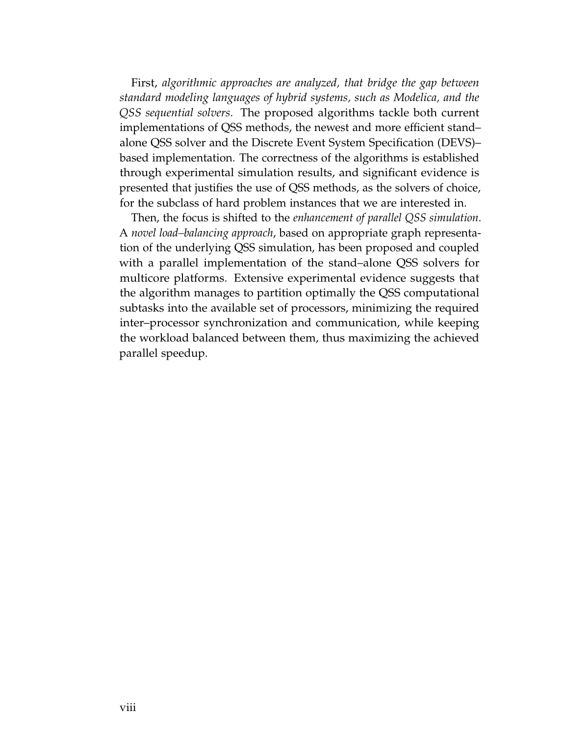First, *algorithmic approaches are analyzed, that bridge the gap between standard modeling languages of hybrid systems, such as Modelica, and the QSS sequential solvers*. The proposed algorithms tackle both current implementations of QSS methods, the newest and more efficient stand– alone QSS solver and the Discrete Event System Specification (DEVS)– based implementation. The correctness of the algorithms is established through experimental simulation results, and significant evidence is presented that justifies the use of QSS methods, as the solvers of choice, for the subclass of hard problem instances that we are interested in.

Then, the focus is shifted to the *enhancement of parallel QSS simulation*. A *novel load–balancing approach*, based on appropriate graph representation of the underlying QSS simulation, has been proposed and coupled with a parallel implementation of the stand–alone QSS solvers for multicore platforms. Extensive experimental evidence suggests that the algorithm manages to partition optimally the QSS computational subtasks into the available set of processors, minimizing the required inter–processor synchronization and communication, while keeping the workload balanced between them, thus maximizing the achieved parallel speedup.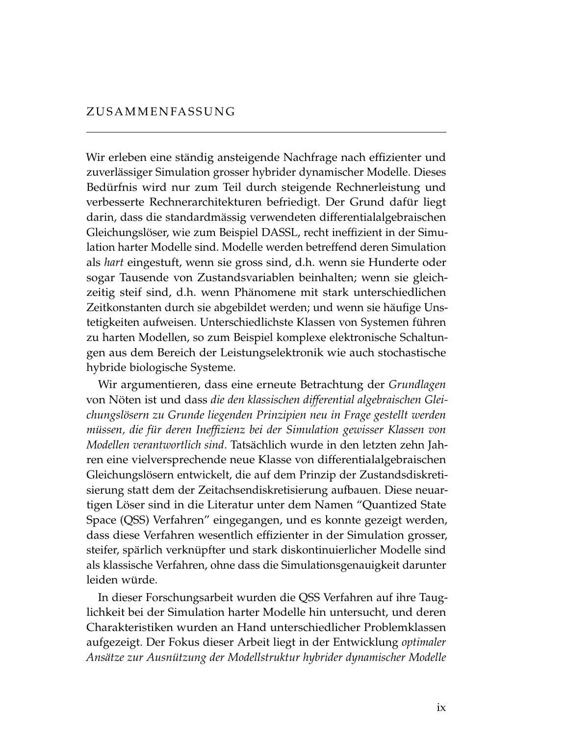Wir erleben eine ständig ansteigende Nachfrage nach effizienter und zuverlässiger Simulation grosser hybrider dynamischer Modelle. Dieses Bedürfnis wird nur zum Teil durch steigende Rechnerleistung und verbesserte Rechnerarchitekturen befriedigt. Der Grund dafür liegt darin, dass die standardmässig verwendeten differentialalgebraischen Gleichungslöser, wie zum Beispiel DASSL, recht ineffizient in der Simulation harter Modelle sind. Modelle werden betreffend deren Simulation als *hart* eingestuft, wenn sie gross sind, d.h. wenn sie Hunderte oder sogar Tausende von Zustandsvariablen beinhalten; wenn sie gleichzeitig steif sind, d.h. wenn Phänomene mit stark unterschiedlichen Zeitkonstanten durch sie abgebildet werden; und wenn sie häufige Unstetigkeiten aufweisen. Unterschiedlichste Klassen von Systemen führen zu harten Modellen, so zum Beispiel komplexe elektronische Schaltungen aus dem Bereich der Leistungselektronik wie auch stochastische hybride biologische Systeme.

Wir argumentieren, dass eine erneute Betrachtung der *Grundlagen* von Nöten ist und dass die den klassischen differential algebraischen Glei*chungslosern zu Grunde liegenden Prinzipien neu in Frage gestellt werden ¨ müssen, die für deren Ineffizienz bei der Simulation gewisser Klassen von Modellen verantwortlich sind*. Tatsachlich wurde in den letzten zehn Jah- ¨ ren eine vielversprechende neue Klasse von differentialalgebraischen Gleichungslösern entwickelt, die auf dem Prinzip der Zustandsdiskretisierung statt dem der Zeitachsendiskretisierung aufbauen. Diese neuartigen Löser sind in die Literatur unter dem Namen "Quantized State Space (QSS) Verfahren" eingegangen, und es konnte gezeigt werden, dass diese Verfahren wesentlich effizienter in der Simulation grosser, steifer, spärlich verknüpfter und stark diskontinuierlicher Modelle sind als klassische Verfahren, ohne dass die Simulationsgenauigkeit darunter leiden würde.

In dieser Forschungsarbeit wurden die QSS Verfahren auf ihre Tauglichkeit bei der Simulation harter Modelle hin untersucht, und deren Charakteristiken wurden an Hand unterschiedlicher Problemklassen aufgezeigt. Der Fokus dieser Arbeit liegt in der Entwicklung *optimaler Ansatze zur Ausn ¨ utzung der Modellstruktur hybrider dynamischer Modelle ¨*